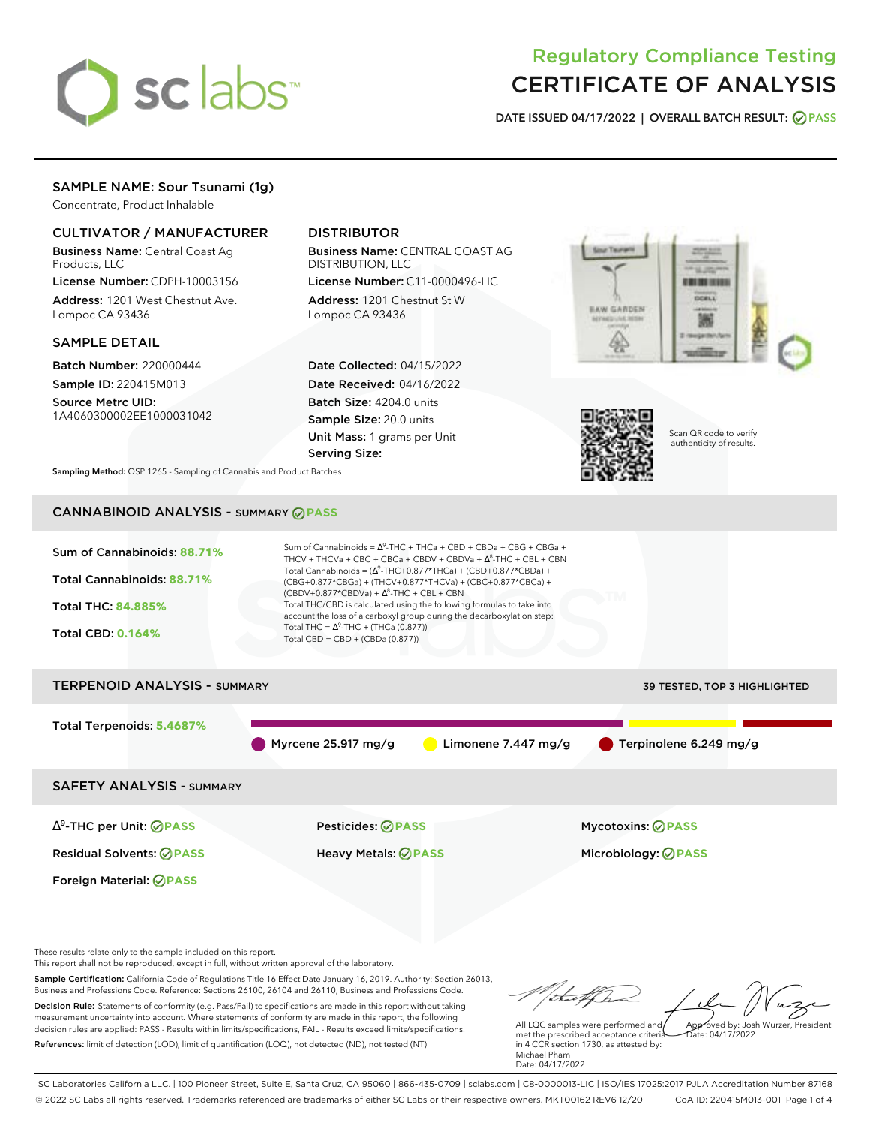

# Regulatory Compliance Testing CERTIFICATE OF ANALYSIS

**DATE ISSUED 04/17/2022 | OVERALL BATCH RESULT: PASS**

# SAMPLE NAME: Sour Tsunami (1g)

Concentrate, Product Inhalable

### CULTIVATOR / MANUFACTURER

Business Name: Central Coast Ag Products, LLC

License Number: CDPH-10003156 Address: 1201 West Chestnut Ave. Lompoc CA 93436

### SAMPLE DETAIL

Batch Number: 220000444 Sample ID: 220415M013

Source Metrc UID: 1A4060300002EE1000031042

## DISTRIBUTOR

Business Name: CENTRAL COAST AG DISTRIBUTION, LLC

License Number: C11-0000496-LIC Address: 1201 Chestnut St W Lompoc CA 93436

Date Collected: 04/15/2022 Date Received: 04/16/2022 Batch Size: 4204.0 units Sample Size: 20.0 units Unit Mass: 1 grams per Unit Serving Size:





Scan QR code to verify authenticity of results.

**Sampling Method:** QSP 1265 - Sampling of Cannabis and Product Batches

# CANNABINOID ANALYSIS - SUMMARY **PASS**



Business and Professions Code. Reference: Sections 26100, 26104 and 26110, Business and Professions Code. Decision Rule: Statements of conformity (e.g. Pass/Fail) to specifications are made in this report without taking measurement uncertainty into account. Where statements of conformity are made in this report, the following decision rules are applied: PASS - Results within limits/specifications, FAIL - Results exceed limits/specifications. References: limit of detection (LOD), limit of quantification (LOQ), not detected (ND), not tested (NT)

tal f h All LQC samples were performed and Approved by: Josh Wurzer, President Date: 04/17/2022

met the prescribed acceptance criteria in 4 CCR section 1730, as attested by: Michael Pham Date: 04/17/2022

SC Laboratories California LLC. | 100 Pioneer Street, Suite E, Santa Cruz, CA 95060 | 866-435-0709 | sclabs.com | C8-0000013-LIC | ISO/IES 17025:2017 PJLA Accreditation Number 87168 © 2022 SC Labs all rights reserved. Trademarks referenced are trademarks of either SC Labs or their respective owners. MKT00162 REV6 12/20 CoA ID: 220415M013-001 Page 1 of 4